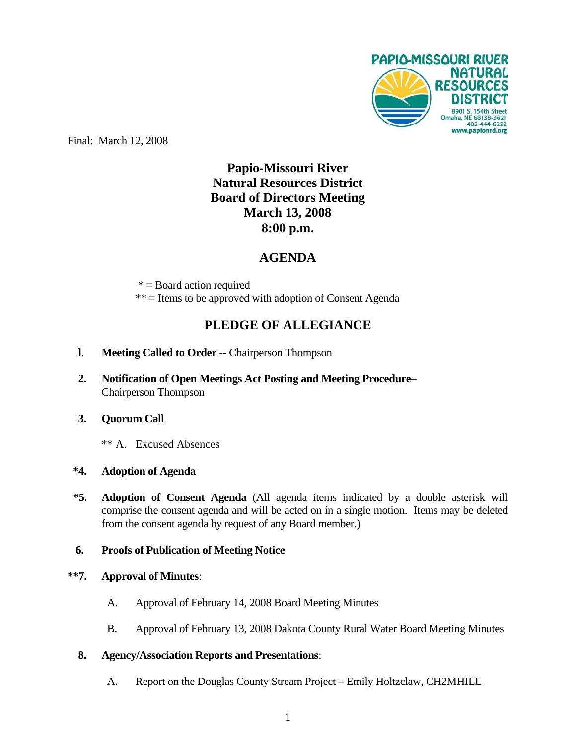

Final: March 12, 2008

# **Papio-Missouri River Natural Resources District Board of Directors Meeting March 13, 2008 8:00 p.m.**

## **AGENDA**

 $* =$ Board action required \*\* = Items to be approved with adoption of Consent Agenda

## **PLEDGE OF ALLEGIANCE**

- **l**. **Meeting Called to Order** -- Chairperson Thompson
- **2. Notification of Open Meetings Act Posting and Meeting Procedure** Chairperson Thompson
- **3. Quorum Call**
	- \*\* A. Excused Absences

## **\*4. Adoption of Agenda**

**\*5. Adoption of Consent Agenda** (All agenda items indicated by a double asterisk will comprise the consent agenda and will be acted on in a single motion. Items may be deleted from the consent agenda by request of any Board member.)

## **6. Proofs of Publication of Meeting Notice**

#### **\*\*7. Approval of Minutes**:

- A. Approval of February 14, 2008 Board Meeting Minutes
- B. Approval of February 13, 2008 Dakota County Rural Water Board Meeting Minutes
- **8. Agency/Association Reports and Presentations**:
	- A. Report on the Douglas County Stream Project Emily Holtzclaw, CH2MHILL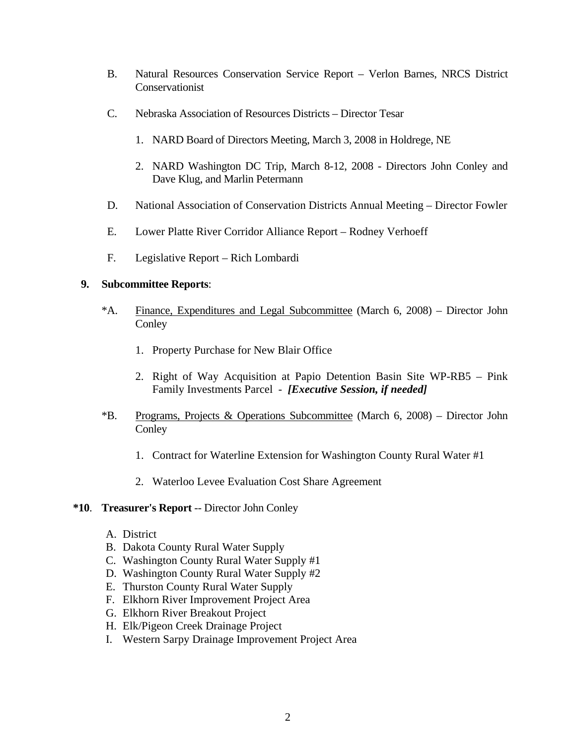- B. Natural Resources Conservation Service Report Verlon Barnes, NRCS District **Conservationist**
- C. Nebraska Association of Resources Districts Director Tesar
	- 1. NARD Board of Directors Meeting, March 3, 2008 in Holdrege, NE
	- 2. NARD Washington DC Trip, March 8-12, 2008 Directors John Conley and Dave Klug, and Marlin Petermann
- D. National Association of Conservation Districts Annual Meeting Director Fowler
- E. Lower Platte River Corridor Alliance Report Rodney Verhoeff
- F. Legislative Report Rich Lombardi

#### **9. Subcommittee Reports**:

- \*A. Finance, Expenditures and Legal Subcommittee (March 6, 2008) Director John **Conley** 
	- 1. Property Purchase for New Blair Office
	- 2. Right of Way Acquisition at Papio Detention Basin Site WP-RB5 Pink Family Investments Parcel - *[Executive Session, if needed]*
- \*B. Programs, Projects & Operations Subcommittee (March 6, 2008) Director John **Conley** 
	- 1. Contract for Waterline Extension for Washington County Rural Water #1
	- 2. Waterloo Levee Evaluation Cost Share Agreement

#### **\*10**. **Treasurer's Report** -- Director John Conley

- A. District
- B. Dakota County Rural Water Supply
- C. Washington County Rural Water Supply #1
- D. Washington County Rural Water Supply #2
- E. Thurston County Rural Water Supply
- F. Elkhorn River Improvement Project Area
- G. Elkhorn River Breakout Project
- H. Elk/Pigeon Creek Drainage Project
- I. Western Sarpy Drainage Improvement Project Area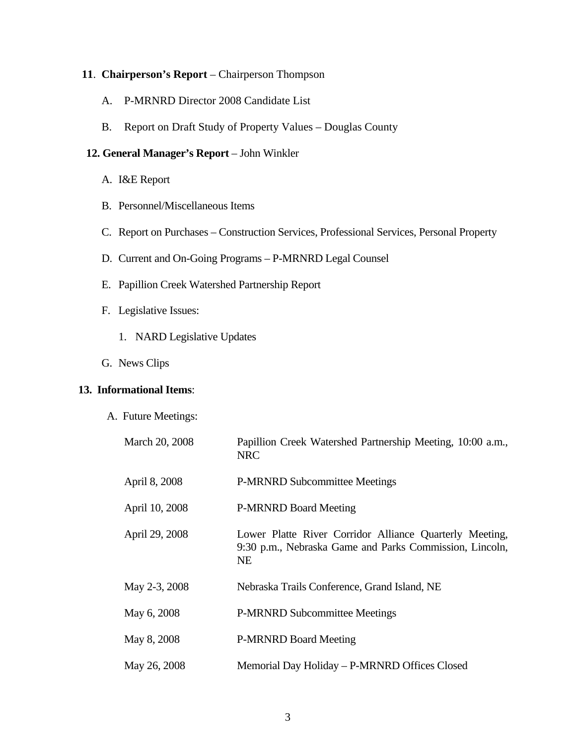#### **11**. **Chairperson's Report** – Chairperson Thompson

- A. P-MRNRD Director 2008 Candidate List
- B. Report on Draft Study of Property Values Douglas County

## **12. General Manager's Report** – John Winkler

- A. I&E Report
- B. Personnel/Miscellaneous Items
- C. Report on Purchases Construction Services, Professional Services, Personal Property
- D. Current and On-Going Programs P-MRNRD Legal Counsel
- E. Papillion Creek Watershed Partnership Report
- F. Legislative Issues:
	- 1. NARD Legislative Updates
- G. News Clips

#### **13. Informational Items**:

A. Future Meetings:

| March 20, 2008 | Papillion Creek Watershed Partnership Meeting, 10:00 a.m.,<br><b>NRC</b>                                                        |
|----------------|---------------------------------------------------------------------------------------------------------------------------------|
| April 8, 2008  | <b>P-MRNRD Subcommittee Meetings</b>                                                                                            |
| April 10, 2008 | <b>P-MRNRD Board Meeting</b>                                                                                                    |
| April 29, 2008 | Lower Platte River Corridor Alliance Quarterly Meeting,<br>9:30 p.m., Nebraska Game and Parks Commission, Lincoln,<br><b>NE</b> |
| May 2-3, 2008  | Nebraska Trails Conference, Grand Island, NE                                                                                    |
| May 6, 2008    | <b>P-MRNRD Subcommittee Meetings</b>                                                                                            |
| May 8, 2008    | <b>P-MRNRD Board Meeting</b>                                                                                                    |
| May 26, 2008   | Memorial Day Holiday - P-MRNRD Offices Closed                                                                                   |